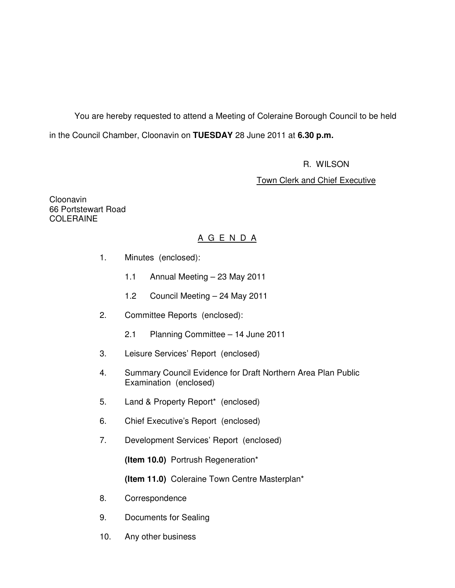You are hereby requested to attend a Meeting of Coleraine Borough Council to be held in the Council Chamber, Cloonavin on **TUESDAY** 28 June 2011 at **6.30 p.m.** 

R. WILSON

Town Clerk and Chief Executive

Cloonavin 66 Portstewart Road **COLERAINE** 

# A G E N D A

- 1. Minutes (enclosed):
	- 1.1 Annual Meeting 23 May 2011
	- 1.2 Council Meeting 24 May 2011
- 2. Committee Reports (enclosed):
	- 2.1 Planning Committee 14 June 2011
- 3. Leisure Services' Report (enclosed)
- 4. Summary Council Evidence for Draft Northern Area Plan Public Examination (enclosed)
- 5. Land & Property Report\* (enclosed)
- 6. Chief Executive's Report (enclosed)
- 7. Development Services' Report (enclosed)

**(Item 10.0)** Portrush Regeneration\*

**(Item 11.0)** Coleraine Town Centre Masterplan\*

- 8. Correspondence
- 9. Documents for Sealing
- 10. Any other business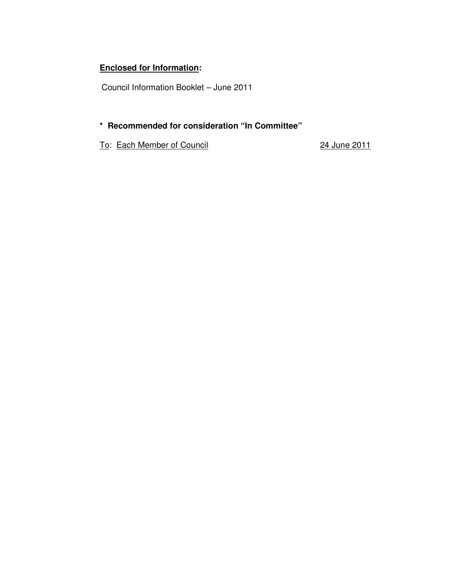# **Enclosed for Information:**

Council Information Booklet – June 2011

# **\* Recommended for consideration "In Committee"**

To: Each Member of Council 24 June 2011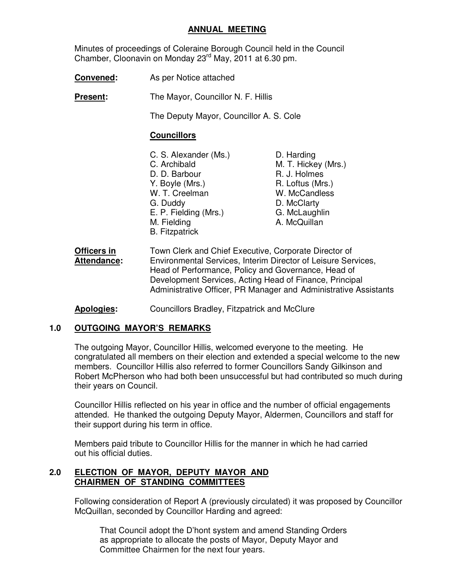#### **ANNUAL MEETING**

 Minutes of proceedings of Coleraine Borough Council held in the Council Chamber, Cloonavin on Monday 23rd May, 2011 at 6.30 pm.

**Convened:** As per Notice attached

**Present:** The Mayor, Councillor N. F. Hillis

The Deputy Mayor, Councillor A. S. Cole

#### **Councillors**

- C. S. Alexander (Ms.) D. Harding<br>C. Archibald M. T. Hicke D. D. Barbour R. J. Holmes Y. Boyle (Mrs.) R. Loftus (Mrs.) W. T. Creelman W. McCandless G. Duddy D. McClarty E. P. Fielding (Mrs.) G. McLaughlin M. Fielding **A. McQuillan**  B. Fitzpatrick
	- M. T. Hickey (Mrs.)
- **Officers in** Town Clerk and Chief Executive, Corporate Director of **Attendance:** Environmental Services, Interim Director of Leisure Services, Head of Performance, Policy and Governance, Head of Development Services, Acting Head of Finance, Principal Administrative Officer, PR Manager and Administrative Assistants
- **Apologies:** Councillors Bradley, Fitzpatrick and McClure

#### **1.0 OUTGOING MAYOR'S REMARKS**

 The outgoing Mayor, Councillor Hillis, welcomed everyone to the meeting. He congratulated all members on their election and extended a special welcome to the new members. Councillor Hillis also referred to former Councillors Sandy Gilkinson and Robert McPherson who had both been unsuccessful but had contributed so much during their years on Council.

 Councillor Hillis reflected on his year in office and the number of official engagements attended. He thanked the outgoing Deputy Mayor, Aldermen, Councillors and staff for their support during his term in office.

 Members paid tribute to Councillor Hillis for the manner in which he had carried out his official duties.

#### **2.0 ELECTION OF MAYOR, DEPUTY MAYOR AND CHAIRMEN OF STANDING COMMITTEES**

 Following consideration of Report A (previously circulated) it was proposed by Councillor McQuillan, seconded by Councillor Harding and agreed:

 That Council adopt the D'hont system and amend Standing Orders as appropriate to allocate the posts of Mayor, Deputy Mayor and Committee Chairmen for the next four years.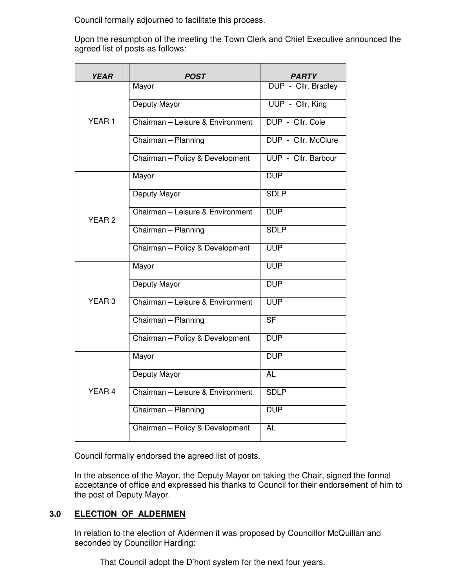Council formally adjourned to facilitate this process.

 Upon the resumption of the meeting the Town Clerk and Chief Executive announced the agreed list of posts as follows:

| <b>YEAR</b>       | POST                             | PARTY                    |
|-------------------|----------------------------------|--------------------------|
|                   | Mayor                            | DUP - Cllr. Bradley      |
|                   | Deputy Mayor                     | UUP - Cllr. King         |
| YEAR 1            | Chairman - Leisure & Environment | DUP - Cllr. Cole         |
|                   | Chairman - Planning              | DUP - Cllr. McClure      |
|                   | Chairman - Policy & Development  | UUP - Cllr. Barbour      |
|                   | Mayor                            | <b>DUP</b>               |
|                   | Deputy Mayor                     | <b>SDLP</b>              |
| YEAR <sub>2</sub> | Chairman - Leisure & Environment | <b>DUP</b>               |
|                   | Chairman - Planning              | <b>SDLP</b>              |
|                   | Chairman - Policy & Development  | <b>UUP</b>               |
|                   | Mayor                            | <b>UUP</b>               |
|                   | Deputy Mayor                     | <b>DUP</b>               |
| YEAR 3            | Chairman - Leisure & Environment | <b>UUP</b>               |
|                   | Chairman - Planning              | $\overline{\mathsf{SF}}$ |
|                   | Chairman - Policy & Development  | <b>DUP</b>               |
|                   | Mayor                            | <b>DUP</b>               |
|                   | <b>Deputy Mayor</b>              | <b>AL</b>                |
| YEAR <sub>4</sub> | Chairman - Leisure & Environment | <b>SDLP</b>              |
|                   | Chairman - Planning              | <b>DUP</b>               |
|                   | Chairman - Policy & Development  | <b>AL</b>                |

Council formally endorsed the agreed list of posts.

In the absence of the Mayor, the Deputy Mayor on taking the Chair, signed the formal acceptance of office and expressed his thanks to Council for their endorsement of him to the post of Deputy Mayor.

# **3.0 ELECTION OF ALDERMEN**

 In relation to the election of Aldermen it was proposed by Councillor McQuillan and seconded by Councillor Harding:

That Council adopt the D'hont system for the next four years.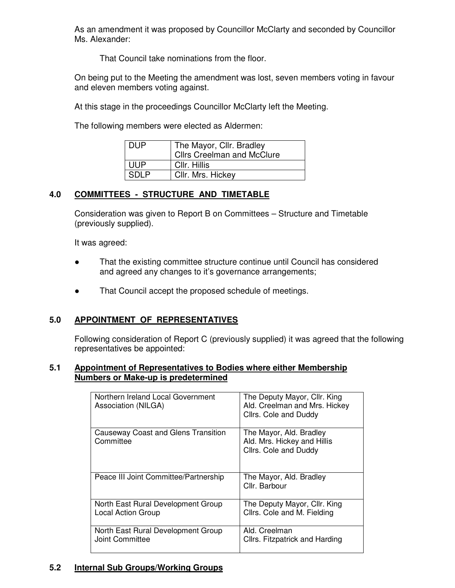As an amendment it was proposed by Councillor McClarty and seconded by Councillor Ms. Alexander:

That Council take nominations from the floor.

 On being put to the Meeting the amendment was lost, seven members voting in favour and eleven members voting against.

At this stage in the proceedings Councillor McClarty left the Meeting.

The following members were elected as Aldermen:

| DUP   | The Mayor, Cllr. Bradley<br><b>Cllrs Creelman and McClure</b> |
|-------|---------------------------------------------------------------|
| UUP   | Cllr. Hillis                                                  |
| SDI P | Cllr. Mrs. Hickey                                             |

### **4.0 COMMITTEES - STRUCTURE AND TIMETABLE**

 Consideration was given to Report B on Committees – Structure and Timetable (previously supplied).

It was agreed:

- That the existing committee structure continue until Council has considered and agreed any changes to it's governance arrangements;
- That Council accept the proposed schedule of meetings.

#### **5.0 APPOINTMENT OF REPRESENTATIVES**

 Following consideration of Report C (previously supplied) it was agreed that the following representatives be appointed:

#### **5.1 Appointment of Representatives to Bodies where either Membership Numbers or Make-up is predetermined**

| Northern Ireland Local Government<br>Association (NILGA)        | The Deputy Mayor, Cllr. King<br>Ald. Creelman and Mrs. Hickey<br>Cllrs. Cole and Duddy |
|-----------------------------------------------------------------|----------------------------------------------------------------------------------------|
| Causeway Coast and Glens Transition<br>Committee                | The Mayor, Ald. Bradley<br>Ald. Mrs. Hickey and Hillis<br>Cllrs. Cole and Duddy        |
| Peace III Joint Committee/Partnership                           | The Mayor, Ald. Bradley<br>Cllr. Barbour                                               |
| North East Rural Development Group<br><b>Local Action Group</b> | The Deputy Mayor, Cllr. King<br>Cllrs. Cole and M. Fielding                            |
| North East Rural Development Group<br>Joint Committee           | Ald. Creelman<br>Cllrs. Fitzpatrick and Harding                                        |

# **5.2 Internal Sub Groups/Working Groups**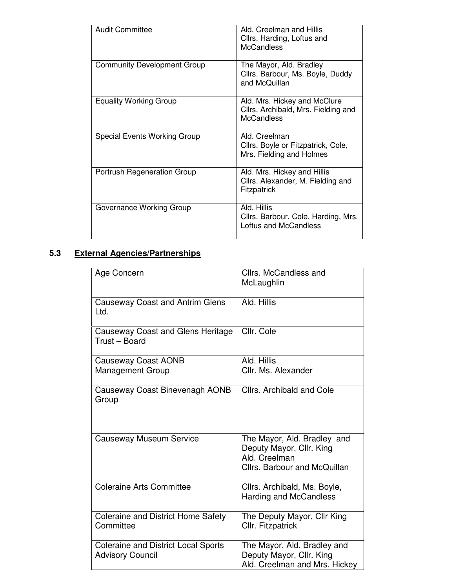| <b>Audit Committee</b>             | Ald. Creelman and Hillis<br>Cllrs. Harding, Loftus and<br><b>McCandless</b>              |
|------------------------------------|------------------------------------------------------------------------------------------|
| <b>Community Development Group</b> | The Mayor, Ald. Bradley<br>Cllrs. Barbour, Ms. Boyle, Duddy<br>and McQuillan             |
| <b>Equality Working Group</b>      | Ald. Mrs. Hickey and McClure<br>Cllrs. Archibald, Mrs. Fielding and<br><b>McCandless</b> |
| Special Events Working Group       | Ald. Creelman<br>Cllrs. Boyle or Fitzpatrick, Cole,<br>Mrs. Fielding and Holmes          |
| <b>Portrush Regeneration Group</b> | Ald. Mrs. Hickey and Hillis<br>Cllrs. Alexander, M. Fielding and<br>Fitzpatrick          |
| Governance Working Group           | Ald. Hillis<br>Cllrs. Barbour, Cole, Harding, Mrs.<br>Loftus and McCandless              |

# **5.3 External Agencies/Partnerships**

| Age Concern                                                           | Cllrs. McCandless and<br>McLaughlin                                                                      |
|-----------------------------------------------------------------------|----------------------------------------------------------------------------------------------------------|
| <b>Causeway Coast and Antrim Glens</b><br>Ltd.                        | Ald. Hillis                                                                                              |
| <b>Causeway Coast and Glens Heritage</b><br>Trust - Board             | Cllr. Cole                                                                                               |
| <b>Causeway Coast AONB</b>                                            | Ald. Hillis                                                                                              |
| <b>Management Group</b>                                               | Cllr. Ms. Alexander                                                                                      |
| Causeway Coast Binevenagh AONB<br>Group                               | <b>Cllrs. Archibald and Cole</b>                                                                         |
| <b>Causeway Museum Service</b>                                        | The Mayor, Ald. Bradley and<br>Deputy Mayor, Cllr. King<br>Ald. Creelman<br>Cllrs. Barbour and McQuillan |
| <b>Coleraine Arts Committee</b>                                       | Cllrs. Archibald, Ms. Boyle,<br>Harding and McCandless                                                   |
| <b>Coleraine and District Home Safety</b><br>Committee                | The Deputy Mayor, Cllr King<br>Cllr. Fitzpatrick                                                         |
| <b>Coleraine and District Local Sports</b><br><b>Advisory Council</b> | The Mayor, Ald. Bradley and<br>Deputy Mayor, Cllr. King<br>Ald. Creelman and Mrs. Hickey                 |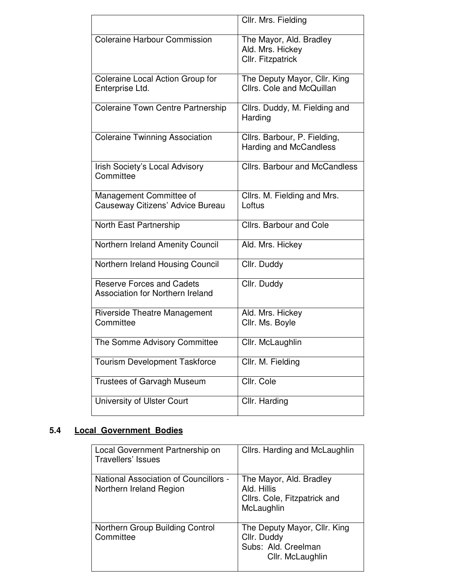|                                                                      | Cllr. Mrs. Fielding                                              |
|----------------------------------------------------------------------|------------------------------------------------------------------|
| <b>Coleraine Harbour Commission</b>                                  | The Mayor, Ald. Bradley<br>Ald. Mrs. Hickey<br>Cllr. Fitzpatrick |
| Coleraine Local Action Group for<br>Enterprise Ltd.                  | The Deputy Mayor, Cllr. King<br>Cllrs. Cole and McQuillan        |
| <b>Coleraine Town Centre Partnership</b>                             | Cllrs. Duddy, M. Fielding and<br>Harding                         |
| <b>Coleraine Twinning Association</b>                                | Cllrs. Barbour, P. Fielding,<br>Harding and McCandless           |
| Irish Society's Local Advisory<br>Committee                          | <b>Cllrs. Barbour and McCandless</b>                             |
| Management Committee of<br>Causeway Citizens' Advice Bureau          | Cllrs. M. Fielding and Mrs.<br>Loftus                            |
| North East Partnership                                               | Cllrs. Barbour and Cole                                          |
| Northern Ireland Amenity Council                                     | Ald. Mrs. Hickey                                                 |
| Northern Ireland Housing Council                                     | Cllr. Duddy                                                      |
| <b>Reserve Forces and Cadets</b><br>Association for Northern Ireland | Cllr. Duddy                                                      |
| <b>Riverside Theatre Management</b><br>Committee                     | Ald. Mrs. Hickey<br>Cllr. Ms. Boyle                              |
| The Somme Advisory Committee                                         | Cllr. McLaughlin                                                 |
| <b>Tourism Development Taskforce</b>                                 | Cllr. M. Fielding                                                |
| Trustees of Garvagh Museum                                           | Cllr. Cole                                                       |
| University of Ulster Court                                           | Cllr. Harding                                                    |

# **5.4 Local Government Bodies**

| Local Government Partnership on<br>Travellers' Issues            | Cllrs. Harding and McLaughlin                                                          |
|------------------------------------------------------------------|----------------------------------------------------------------------------------------|
| National Association of Councillors -<br>Northern Ireland Region | The Mayor, Ald. Bradley<br>Ald. Hillis<br>Cllrs. Cole, Fitzpatrick and<br>McLaughlin   |
| Northern Group Building Control<br>Committee                     | The Deputy Mayor, Cllr. King<br>Cllr. Duddy<br>Subs: Ald. Creelman<br>Cllr. McLaughlin |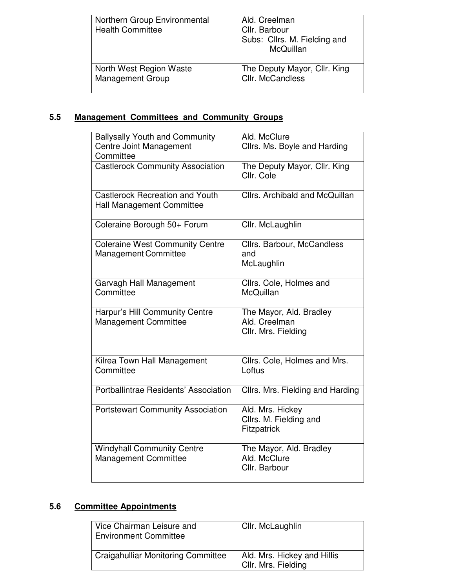| Northern Group Environmental<br><b>Health Committee</b> | Ald. Creelman<br>Cllr. Barbour<br>Subs: Cllrs. M. Fielding and<br>McQuillan |
|---------------------------------------------------------|-----------------------------------------------------------------------------|
| North West Region Waste                                 | The Deputy Mayor, Cllr. King                                                |
| <b>Management Group</b>                                 | Cllr. McCandless                                                            |

# **5.5 Management Committees and Community Groups**

| <b>Ballysally Youth and Community</b><br><b>Centre Joint Management</b><br>Committee | Ald. McClure<br>Cllrs. Ms. Boyle and Harding                    |
|--------------------------------------------------------------------------------------|-----------------------------------------------------------------|
| <b>Castlerock Community Association</b>                                              | The Deputy Mayor, Cllr. King<br>Cllr. Cole                      |
| <b>Castlerock Recreation and Youth</b><br>Hall Management Committee                  | Cllrs. Archibald and McQuillan                                  |
| Coleraine Borough 50+ Forum                                                          | Cllr. McLaughlin                                                |
| <b>Coleraine West Community Centre</b><br><b>Management Committee</b>                | Cllrs. Barbour, McCandless<br>and<br>McLaughlin                 |
| Garvagh Hall Management<br>Committee                                                 | Cllrs. Cole, Holmes and<br>McQuillan                            |
| Harpur's Hill Community Centre<br><b>Management Committee</b>                        | The Mayor, Ald. Bradley<br>Ald. Creelman<br>Cllr. Mrs. Fielding |
| Kilrea Town Hall Management<br>Committee                                             | Cllrs. Cole, Holmes and Mrs.<br>Loftus                          |
| Portballintrae Residents' Association                                                | Cllrs. Mrs. Fielding and Harding                                |
| <b>Portstewart Community Association</b>                                             | Ald. Mrs. Hickey<br>Cllrs. M. Fielding and<br>Fitzpatrick       |
| <b>Windyhall Community Centre</b><br><b>Management Committee</b>                     | The Mayor, Ald. Bradley<br>Ald. McClure<br>Cllr. Barbour        |

# **5.6 Committee Appointments**

| Vice Chairman Leisure and<br><b>Environment Committee</b> | Cllr. McLaughlin                                   |
|-----------------------------------------------------------|----------------------------------------------------|
| Craigahulliar Monitoring Committee                        | Ald. Mrs. Hickey and Hillis<br>Cilr. Mrs. Fielding |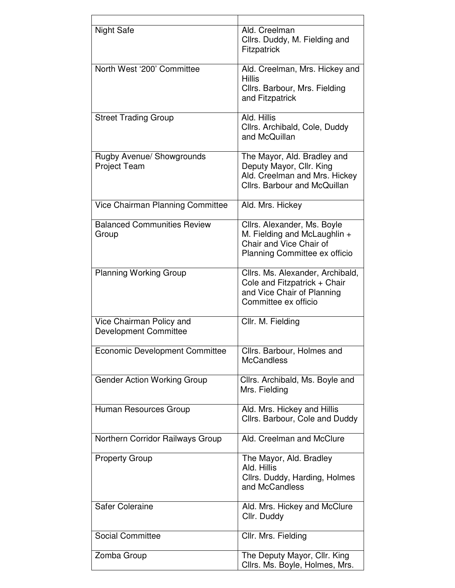| <b>Night Safe</b>                                        | Ald. Creelman<br>Cllrs. Duddy, M. Fielding and<br><b>Fitzpatrick</b>                                                     |
|----------------------------------------------------------|--------------------------------------------------------------------------------------------------------------------------|
| North West '200' Committee                               | Ald. Creelman, Mrs. Hickey and<br><b>Hillis</b><br>Cllrs. Barbour, Mrs. Fielding<br>and Fitzpatrick                      |
| <b>Street Trading Group</b>                              | Ald. Hillis<br>Cllrs. Archibald, Cole, Duddy<br>and McQuillan                                                            |
| Rugby Avenue/ Showgrounds<br><b>Project Team</b>         | The Mayor, Ald. Bradley and<br>Deputy Mayor, Cllr. King<br>Ald. Creelman and Mrs. Hickey<br>Cllrs. Barbour and McQuillan |
| Vice Chairman Planning Committee                         | Ald. Mrs. Hickey                                                                                                         |
| <b>Balanced Communities Review</b><br>Group              | Cllrs. Alexander, Ms. Boyle<br>M. Fielding and McLaughlin +<br>Chair and Vice Chair of<br>Planning Committee ex officio  |
| <b>Planning Working Group</b>                            | Cllrs. Ms. Alexander, Archibald,<br>Cole and Fitzpatrick + Chair<br>and Vice Chair of Planning<br>Committee ex officio   |
| Vice Chairman Policy and<br><b>Development Committee</b> | Cllr. M. Fielding                                                                                                        |
| Economic Development Committee                           | Cllrs. Barbour, Holmes and<br><b>McCandless</b>                                                                          |
| <b>Gender Action Working Group</b>                       | Cllrs. Archibald, Ms. Boyle and<br>Mrs. Fielding                                                                         |
| Human Resources Group                                    | Ald. Mrs. Hickey and Hillis<br>Cllrs. Barbour, Cole and Duddy                                                            |
| Northern Corridor Railways Group                         | Ald. Creelman and McClure                                                                                                |
| <b>Property Group</b>                                    | The Mayor, Ald. Bradley<br>Ald. Hillis<br>Cllrs. Duddy, Harding, Holmes<br>and McCandless                                |
| <b>Safer Coleraine</b>                                   | Ald. Mrs. Hickey and McClure<br>Cllr. Duddy                                                                              |
| <b>Social Committee</b>                                  | Cllr. Mrs. Fielding                                                                                                      |
| Zomba Group                                              | The Deputy Mayor, Cllr. King<br>Cllrs. Ms. Boyle, Holmes, Mrs.                                                           |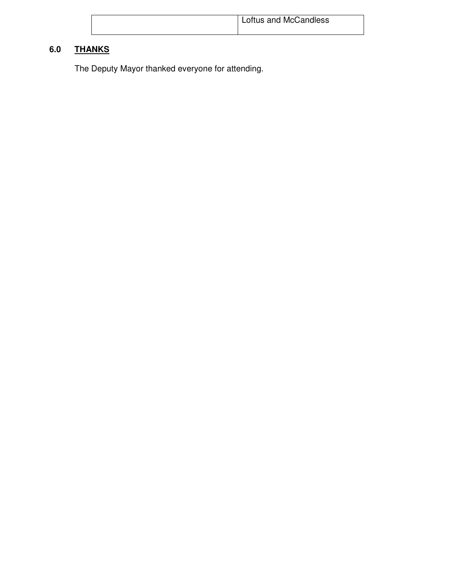| <sup>1</sup> Loftus and McCandless |
|------------------------------------|
|                                    |

# **6.0 THANKS**

The Deputy Mayor thanked everyone for attending.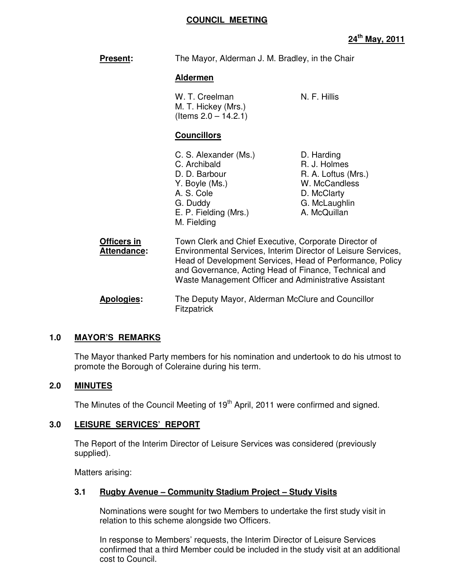#### **COUNCIL MEETING**

| <b>Present:</b>            | The Mayor, Alderman J. M. Bradley, in the Chair<br><b>Aldermen</b>                                                                                                                                                                                                                                    |                                                                                                                    |
|----------------------------|-------------------------------------------------------------------------------------------------------------------------------------------------------------------------------------------------------------------------------------------------------------------------------------------------------|--------------------------------------------------------------------------------------------------------------------|
|                            |                                                                                                                                                                                                                                                                                                       |                                                                                                                    |
|                            | W. T. Creelman<br>M. T. Hickey (Mrs.)<br>(Items $2.0 - 14.2.1$ )                                                                                                                                                                                                                                      | N. F. Hillis                                                                                                       |
|                            | <b>Councillors</b>                                                                                                                                                                                                                                                                                    |                                                                                                                    |
|                            | C. S. Alexander (Ms.)<br>C. Archibald<br>D. D. Barbour<br>Y. Boyle (Ms.)<br>A. S. Cole<br>G. Duddy<br>E. P. Fielding (Mrs.)<br>M. Fielding                                                                                                                                                            | D. Harding<br>R. J. Holmes<br>R. A. Loftus (Mrs.)<br>W. McCandless<br>D. McClarty<br>G. McLaughlin<br>A. McQuillan |
| Officers in<br>Attendance: | Town Clerk and Chief Executive, Corporate Director of<br>Environmental Services, Interim Director of Leisure Services,<br>Head of Development Services, Head of Performance, Policy<br>and Governance, Acting Head of Finance, Technical and<br>Waste Management Officer and Administrative Assistant |                                                                                                                    |
| Apologies:                 | The Deputy Mayor, Alderman McClure and Councillor<br>Fitzpatrick                                                                                                                                                                                                                                      |                                                                                                                    |

#### **1.0 MAYOR'S REMARKS**

The Mayor thanked Party members for his nomination and undertook to do his utmost to promote the Borough of Coleraine during his term.

## **2.0 MINUTES**

The Minutes of the Council Meeting of 19<sup>th</sup> April, 2011 were confirmed and signed.

#### **3.0 LEISURE SERVICES' REPORT**

 The Report of the Interim Director of Leisure Services was considered (previously supplied).

Matters arising:

#### **3.1 Rugby Avenue – Community Stadium Project – Study Visits**

 Nominations were sought for two Members to undertake the first study visit in relation to this scheme alongside two Officers.

 In response to Members' requests, the Interim Director of Leisure Services confirmed that a third Member could be included in the study visit at an additional cost to Council.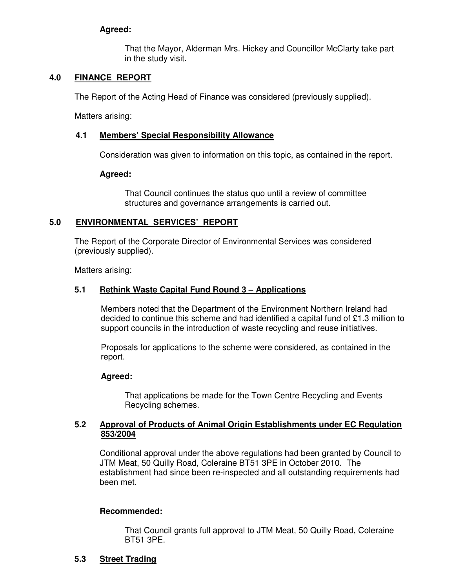#### **Agreed:**

That the Mayor, Alderman Mrs. Hickey and Councillor McClarty take part in the study visit.

## **4.0 FINANCE REPORT**

The Report of the Acting Head of Finance was considered (previously supplied).

Matters arising:

#### **4.1 Members' Special Responsibility Allowance**

Consideration was given to information on this topic, as contained in the report.

#### **Agreed:**

That Council continues the status quo until a review of committee structures and governance arrangements is carried out.

### **5.0 ENVIRONMENTAL SERVICES' REPORT**

 The Report of the Corporate Director of Environmental Services was considered (previously supplied).

Matters arising:

#### **5.1 Rethink Waste Capital Fund Round 3 – Applications**

Members noted that the Department of the Environment Northern Ireland had decided to continue this scheme and had identified a capital fund of £1.3 million to support councils in the introduction of waste recycling and reuse initiatives.

Proposals for applications to the scheme were considered, as contained in the report.

#### **Agreed:**

That applications be made for the Town Centre Recycling and Events Recycling schemes.

#### **5.2 Approval of Products of Animal Origin Establishments under EC Regulation 853/2004**

Conditional approval under the above regulations had been granted by Council to JTM Meat, 50 Quilly Road, Coleraine BT51 3PE in October 2010. The establishment had since been re-inspected and all outstanding requirements had been met.

#### **Recommended:**

 That Council grants full approval to JTM Meat, 50 Quilly Road, Coleraine BT51 3PE.

#### **5.3 Street Trading**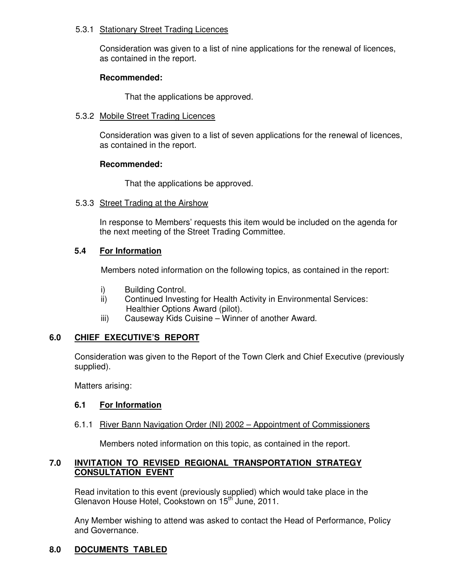#### 5.3.1 Stationary Street Trading Licences

 Consideration was given to a list of nine applications for the renewal of licences, as contained in the report.

#### **Recommended:**

That the applications be approved.

#### 5.3.2 Mobile Street Trading Licences

 Consideration was given to a list of seven applications for the renewal of licences, as contained in the report.

#### **Recommended:**

That the applications be approved.

#### 5.3.3 Street Trading at the Airshow

 In response to Members' requests this item would be included on the agenda for the next meeting of the Street Trading Committee.

#### **5.4 For Information**

Members noted information on the following topics, as contained in the report:

- i) Building Control.
- ii) Continued Investing for Health Activity in Environmental Services: Healthier Options Award (pilot).
- iii) Causeway Kids Cuisine Winner of another Award.

#### **6.0 CHIEF EXECUTIVE'S REPORT**

 Consideration was given to the Report of the Town Clerk and Chief Executive (previously supplied).

Matters arising:

#### **6.1 For Information**

#### 6.1.1 River Bann Navigation Order (NI) 2002 – Appointment of Commissioners

Members noted information on this topic, as contained in the report.

### **7.0 INVITATION TO REVISED REGIONAL TRANSPORTATION STRATEGY CONSULTATION EVENT**

Read invitation to this event (previously supplied) which would take place in the Glenavon House Hotel, Cookstown on 15<sup>th</sup> June, 2011.

Any Member wishing to attend was asked to contact the Head of Performance, Policy and Governance.

# **8.0 DOCUMENTS TABLED**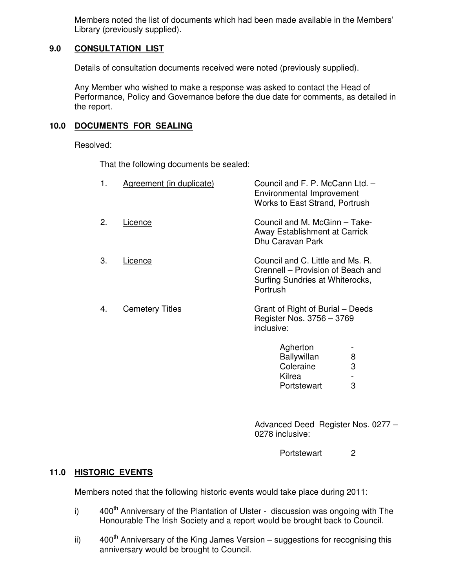Members noted the list of documents which had been made available in the Members' Library (previously supplied).

# **9.0 CONSULTATION LIST**

Details of consultation documents received were noted (previously supplied).

 Any Member who wished to make a response was asked to contact the Head of Performance, Policy and Governance before the due date for comments, as detailed in the report.

# **10.0 DOCUMENTS FOR SEALING**

Resolved:

That the following documents be sealed:

| 1. | Agreement (in duplicate) | Council and F. P. McCann Ltd. -<br>Environmental Improvement<br><b>Works to East Strand, Portrush</b>                |  |
|----|--------------------------|----------------------------------------------------------------------------------------------------------------------|--|
| 2. | Licence                  | Council and M. McGinn - Take-<br>Away Establishment at Carrick<br>Dhu Caravan Park                                   |  |
| 3. | Licence                  | Council and C. Little and Ms. R.<br>Crennell – Provision of Beach and<br>Surfing Sundries at Whiterocks,<br>Portrush |  |
| 4. | <b>Cemetery Titles</b>   | Grant of Right of Burial – Deeds<br>Register Nos. 3756 - 3769<br>inclusive:                                          |  |
|    |                          | Agherton<br><b>Ballywillan</b><br>8                                                                                  |  |
|    |                          | Coleraine<br>3                                                                                                       |  |

Kilrea -<br>Portstewart 3 Portstewart

Advanced Deed Register Nos. 0277 – 0278 inclusive:

Portstewart 2

# **11.0 HISTORIC EVENTS**

Members noted that the following historic events would take place during 2011:

- i)  $400<sup>th</sup>$  Anniversary of the Plantation of Ulster discussion was ongoing with The Honourable The Irish Society and a report would be brought back to Council.
- ii)  $400<sup>th</sup>$  Anniversary of the King James Version suggestions for recognising this anniversary would be brought to Council.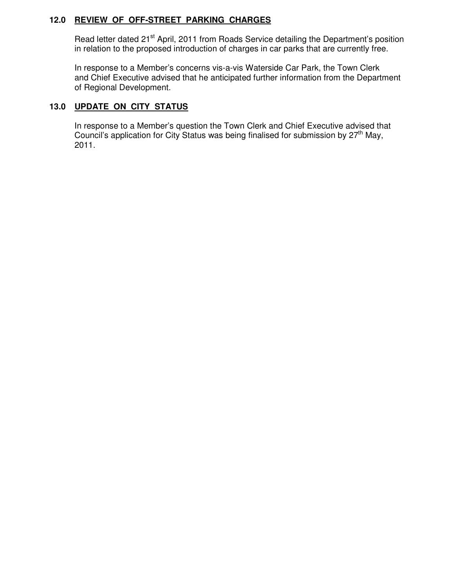# **12.0 REVIEW OF OFF-STREET PARKING CHARGES**

Read letter dated 21<sup>st</sup> April, 2011 from Roads Service detailing the Department's position in relation to the proposed introduction of charges in car parks that are currently free.

 In response to a Member's concerns vis-a-vis Waterside Car Park, the Town Clerk and Chief Executive advised that he anticipated further information from the Department of Regional Development.

# **13.0 UPDATE ON CITY STATUS**

 In response to a Member's question the Town Clerk and Chief Executive advised that Council's application for City Status was being finalised for submission by  $27<sup>th</sup>$  May, 2011.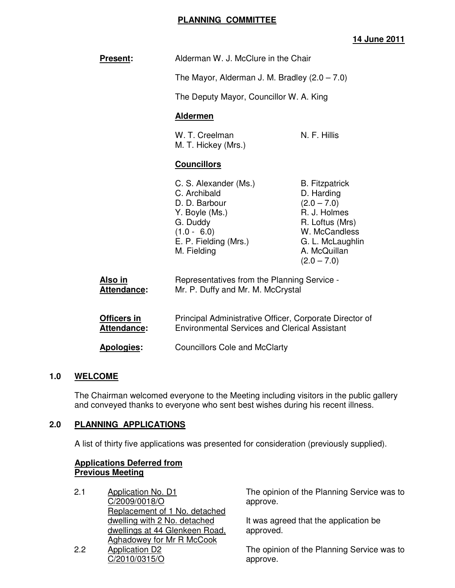# **PLANNING COMMITTEE**

# **14 June 2011**

| <b>Present:</b>                          | Alderman W. J. McClure in the Chair<br>The Mayor, Alderman J. M. Bradley $(2.0 - 7.0)$<br>The Deputy Mayor, Councillor W. A. King<br><b>Aldermen</b> |                                                                                                                                                               |
|------------------------------------------|------------------------------------------------------------------------------------------------------------------------------------------------------|---------------------------------------------------------------------------------------------------------------------------------------------------------------|
|                                          |                                                                                                                                                      |                                                                                                                                                               |
|                                          |                                                                                                                                                      |                                                                                                                                                               |
|                                          |                                                                                                                                                      |                                                                                                                                                               |
|                                          | W. T. Creelman<br>M. T. Hickey (Mrs.)                                                                                                                | N. F. Hillis                                                                                                                                                  |
|                                          | <b>Councillors</b>                                                                                                                                   |                                                                                                                                                               |
|                                          | C. S. Alexander (Ms.)<br>C. Archibald<br>D. D. Barbour<br>Y. Boyle (Ms.)<br>G. Duddy<br>$(1.0 - 6.0)$<br>E. P. Fielding (Mrs.)<br>M. Fielding        | <b>B.</b> Fitzpatrick<br>D. Harding<br>$(2.0 - 7.0)$<br>R. J. Holmes<br>R. Loftus (Mrs)<br>W. McCandless<br>G. L. McLaughlin<br>A. McQuillan<br>$(2.0 - 7.0)$ |
| <u>Also in</u><br>Attendance:            | Representatives from the Planning Service -<br>Mr. P. Duffy and Mr. M. McCrystal                                                                     |                                                                                                                                                               |
| <b>Officers in</b><br><b>Attendance:</b> | Principal Administrative Officer, Corporate Director of<br><b>Environmental Services and Clerical Assistant</b>                                      |                                                                                                                                                               |

Apologies: Councillors Cole and McClarty

#### **1.0 WELCOME**

The Chairman welcomed everyone to the Meeting including visitors in the public gallery and conveyed thanks to everyone who sent best wishes during his recent illness.

#### **2.0 PLANNING APPLICATIONS**

A list of thirty five applications was presented for consideration (previously supplied).

#### **Applications Deferred from Previous Meeting**

2.1 Application No. D1 C/2009/0018/O Replacement of 1 No. detached dwelling with 2 No. detached dwellings at 44 Glenkeen Road, **Aghadowey for Mr R McCook** 2.2 Application D2 C/2010/0315/O

The opinion of the Planning Service was to approve.

It was agreed that the application be approved.

The opinion of the Planning Service was to approve.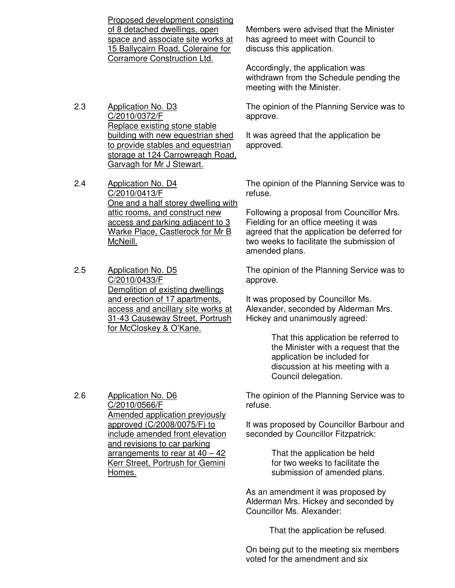Proposed development consisting of 8 detached dwellings, open space and associate site works at 15 Ballycairn Road, Coleraine for Corramore Construction Ltd.

- 2.3 Application No. D3 C/2010/0372/F Replace existing stone stable building with new equestrian shed to provide stables and equestrian storage at 124 Carrowreagh Road, Garvagh for Mr J Stewart.
- 2.4 Application No. D4 C/2010/0413/F One and a half storey dwelling with attic rooms, and construct new access and parking adjacent to 3 Warke Place, Castlerock for Mr B McNeill.
- 2.5 Application No. D5 C/2010/0433/F Demolition of existing dwellings and erection of 17 apartments, access and ancillary site works at 31-43 Causeway Street, Portrush for McCloskey & O'Kane.

Members were advised that the Minister has agreed to meet with Council to discuss this application.

Accordingly, the application was withdrawn from the Schedule pending the meeting with the Minister.

The opinion of the Planning Service was to approve.

It was agreed that the application be approved.

The opinion of the Planning Service was to refuse.

Following a proposal from Councillor Mrs. Fielding for an office meeting it was agreed that the application be deferred for two weeks to facilitate the submission of amended plans.

The opinion of the Planning Service was to approve.

It was proposed by Councillor Ms. Alexander, seconded by Alderman Mrs. Hickey and unanimously agreed:

> That this application be referred to the Minister with a request that the application be included for discussion at his meeting with a Council delegation.

The opinion of the Planning Service was to refuse.

It was proposed by Councillor Barbour and seconded by Councillor Fitzpatrick:

> That the application be held for two weeks to facilitate the submission of amended plans.

As an amendment it was proposed by Alderman Mrs. Hickey and seconded by Councillor Ms. Alexander:

That the application be refused.

On being put to the meeting six members voted for the amendment and six

2.6 Application No. D6 C/2010/0566/F Amended application previously approved (C/2008/0075/F) to include amended front elevation and revisions to car parking arrangements to rear at  $40 - 42$ Kerr Street, Portrush for Gemini Homes.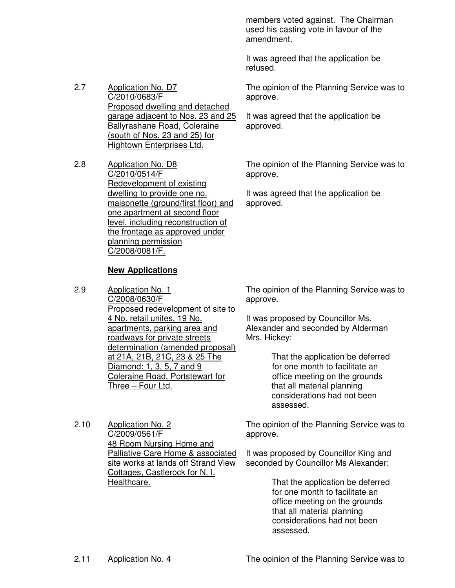members voted against. The Chairman used his casting vote in favour of the amendment.

It was agreed that the application be refused.

The opinion of the Planning Service was to approve.

garage adjacent to Nos. 23 and 25 It was agreed that the application be approved.

> The opinion of the Planning Service was to approve.

It was agreed that the application be approved.

Redevelopment of existing dwelling to provide one no. maisonette (ground/first floor) and one apartment at second floor level, including reconstruction of the frontage as approved under planning permission C/2008/0081/F.

#### **New Applications**

Application No. D7 C/2010/0683/F

Application No. D8 C/2010/0514/F

Proposed dwelling and detached

Ballyrashane Road, Coleraine (south of Nos. 23 and 25) for Hightown Enterprises Ltd.

2.7

2.8

2.9 Application No. 1 C/2008/0630/F Proposed redevelopment of site to 4 No. retail unites, 19 No. apartments, parking area and roadways for private streets determination (amended proposal) at 21A, 21B, 21C, 23 & 25 The Diamond: 1, 3, 5, 7 and 9 Coleraine Road, Portstewart for Three – Four Ltd.

2.10 Application No. 2 C/2009/0561/F 48 Room Nursing Home and Palliative Care Home & associated site works at lands off Strand View Cottages, Castlerock for N. I. Healthcare.

The opinion of the Planning Service was to approve.

It was proposed by Councillor Ms. Alexander and seconded by Alderman Mrs. Hickey:

> That the application be deferred for one month to facilitate an office meeting on the grounds that all material planning considerations had not been assessed.

The opinion of the Planning Service was to approve.

It was proposed by Councillor King and seconded by Councillor Ms Alexander:

> That the application be deferred for one month to facilitate an office meeting on the grounds that all material planning considerations had not been assessed.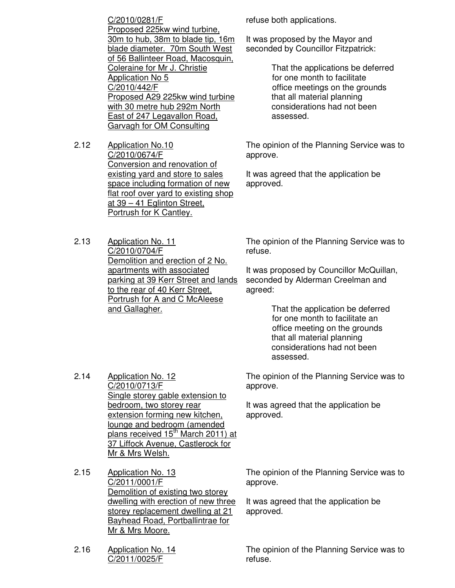C/2010/0281/F Proposed 225kw wind turbine, 30m to hub, 38m to blade tip, 16m blade diameter. 70m South West of 56 Ballinteer Road, Macosquin, Coleraine for Mr J. Christie Application No 5 C/2010/442/F Proposed A29 225kw wind turbine with 30 metre hub 292m North East of 247 Legavallon Road, Garvagh for OM Consulting

- 2.12 Application No.10 C/2010/0674/F Conversion and renovation of existing yard and store to sales space including formation of new flat roof over yard to existing shop at 39 – 41 Eglinton Street, Portrush for K Cantley.
- 2.13 Application No. 11 C/2010/0704/F Demolition and erection of 2 No. apartments with associated parking at 39 Kerr Street and lands to the rear of 40 Kerr Street, Portrush for A and C McAleese and Gallagher.

refuse both applications.

It was proposed by the Mayor and seconded by Councillor Fitzpatrick:

> That the applications be deferred for one month to facilitate office meetings on the grounds that all material planning considerations had not been assessed.

The opinion of the Planning Service was to approve.

It was agreed that the application be approved.

The opinion of the Planning Service was to refuse.

It was proposed by Councillor McQuillan, seconded by Alderman Creelman and agreed:

> That the application be deferred for one month to facilitate an office meeting on the grounds that all material planning considerations had not been assessed.

The opinion of the Planning Service was to approve.

It was agreed that the application be approved.

2.14 Application No. 12 C/2010/0713/F Single storey gable extension to bedroom, two storey rear extension forming new kitchen, lounge and bedroom (amended plans received 15<sup>th</sup> March 2011) at 37 Liffock Avenue, Castlerock for Mr & Mrs Welsh.

2.15 Application No. 13 C/2011/0001/F Demolition of existing two storey dwelling with erection of new three storey replacement dwelling at 21 Bayhead Road, Portballintrae for Mr & Mrs Moore.

The opinion of the Planning Service was to approve.

It was agreed that the application be approved.

The opinion of the Planning Service was to refuse.

2.16 Application No. 14 C/2011/0025/F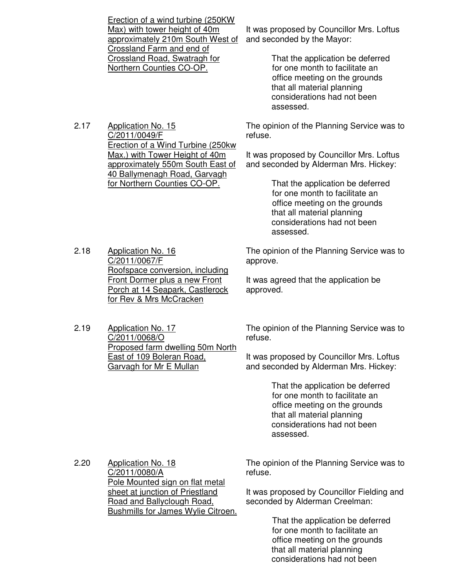Erection of a wind turbine (250KW Max) with tower height of 40m approximately 210m South West of Crossland Farm and end of Crossland Road, Swatragh for Northern Counties CO-OP.

2.17 Application No. 15 C/2011/0049/F Erection of a Wind Turbine (250kw Max.) with Tower Height of 40m approximately 550m South East of 40 Ballymenagh Road, Garvagh for Northern Counties CO-OP.

It was proposed by Councillor Mrs. Loftus and seconded by the Mayor:

> That the application be deferred for one month to facilitate an office meeting on the grounds that all material planning considerations had not been assessed.

The opinion of the Planning Service was to refuse.

It was proposed by Councillor Mrs. Loftus and seconded by Alderman Mrs. Hickey:

> That the application be deferred for one month to facilitate an office meeting on the grounds that all material planning considerations had not been assessed.

2.18 Application No. 16 C/2011/0067/F Roofspace conversion, including Front Dormer plus a new Front Porch at 14 Seapark, Castlerock for Rev & Mrs McCracken

2.19 Application No. 17 C/2011/0068/O Proposed farm dwelling 50m North East of 109 Boleran Road, Garvagh for Mr E Mullan

The opinion of the Planning Service was to approve.

It was agreed that the application be approved.

The opinion of the Planning Service was to refuse.

It was proposed by Councillor Mrs. Loftus and seconded by Alderman Mrs. Hickey:

> That the application be deferred for one month to facilitate an office meeting on the grounds that all material planning considerations had not been assessed.

2.20 Application No. 18 C/2011/0080/A Pole Mounted sign on flat metal sheet at junction of Priestland Road and Ballyclough Road, Bushmills for James Wylie Citroen. The opinion of the Planning Service was to refuse.

It was proposed by Councillor Fielding and seconded by Alderman Creelman:

> That the application be deferred for one month to facilitate an office meeting on the grounds that all material planning considerations had not been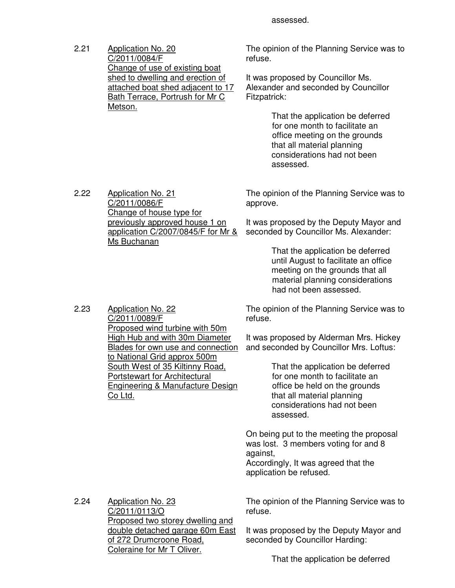2.21 Application No. 20 C/2011/0084/F Change of use of existing boat shed to dwelling and erection of attached boat shed adjacent to 17 Bath Terrace, Portrush for Mr C Metson.

The opinion of the Planning Service was to refuse.

It was proposed by Councillor Ms. Alexander and seconded by Councillor Fitzpatrick:

> That the application be deferred for one month to facilitate an office meeting on the grounds that all material planning considerations had not been assessed.

2.22 Application No. 21 C/2011/0086/F Change of house type for previously approved house 1 on application C/2007/0845/F for Mr & Ms Buchanan

The opinion of the Planning Service was to approve.

It was proposed by the Deputy Mayor and seconded by Councillor Ms. Alexander:

> That the application be deferred until August to facilitate an office meeting on the grounds that all material planning considerations had not been assessed.

The opinion of the Planning Service was to refuse.

It was proposed by Alderman Mrs. Hickey and seconded by Councillor Mrs. Loftus:

> That the application be deferred for one month to facilitate an office be held on the grounds that all material planning considerations had not been assessed.

On being put to the meeting the proposal was lost. 3 members voting for and 8 against, Accordingly, It was agreed that the

application be refused.

2.24 Application No. 23 C/2011/0113/O Proposed two storey dwelling and double detached garage 60m East of 272 Drumcroone Road, Coleraine for Mr T Oliver.

The opinion of the Planning Service was to refuse.

It was proposed by the Deputy Mayor and seconded by Councillor Harding:

That the application be deferred

2.23 Application No. 22 C/2011/0089/F Proposed wind turbine with 50m High Hub and with 30m Diameter Blades for own use and connection to National Grid approx 500m South West of 35 Kiltinny Road, Portstewart for Architectural Engineering & Manufacture Design Co Ltd.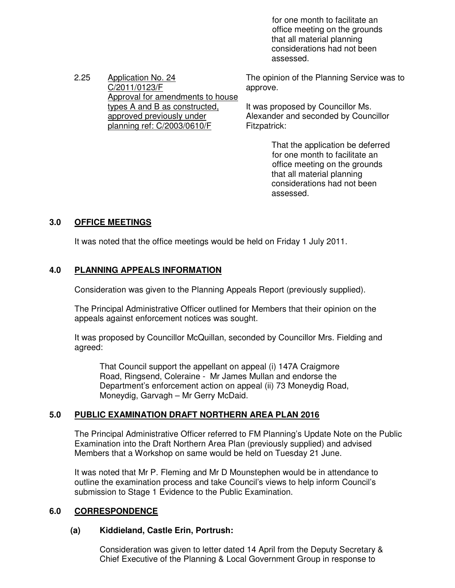for one month to facilitate an office meeting on the grounds that all material planning considerations had not been assessed.

2.25 Application No. 24 C/2011/0123/F Approval for amendments to house types A and B as constructed, approved previously under planning ref: C/2003/0610/F

The opinion of the Planning Service was to approve.

It was proposed by Councillor Ms. Alexander and seconded by Councillor Fitzpatrick:

> That the application be deferred for one month to facilitate an office meeting on the grounds that all material planning considerations had not been assessed.

# **3.0 OFFICE MEETINGS**

It was noted that the office meetings would be held on Friday 1 July 2011.

# **4.0 PLANNING APPEALS INFORMATION**

Consideration was given to the Planning Appeals Report (previously supplied).

 The Principal Administrative Officer outlined for Members that their opinion on the appeals against enforcement notices was sought.

It was proposed by Councillor McQuillan, seconded by Councillor Mrs. Fielding and agreed:

That Council support the appellant on appeal (i) 147A Craigmore Road, Ringsend, Coleraine - Mr James Mullan and endorse the Department's enforcement action on appeal (ii) 73 Moneydig Road, Moneydig, Garvagh – Mr Gerry McDaid.

# **5.0 PUBLIC EXAMINATION DRAFT NORTHERN AREA PLAN 2016**

The Principal Administrative Officer referred to FM Planning's Update Note on the Public Examination into the Draft Northern Area Plan (previously supplied) and advised Members that a Workshop on same would be held on Tuesday 21 June.

It was noted that Mr P. Fleming and Mr D Mounstephen would be in attendance to outline the examination process and take Council's views to help inform Council's submission to Stage 1 Evidence to the Public Examination.

# **6.0 CORRESPONDENCE**

# **(a) Kiddieland, Castle Erin, Portrush:**

 Consideration was given to letter dated 14 April from the Deputy Secretary & Chief Executive of the Planning & Local Government Group in response to